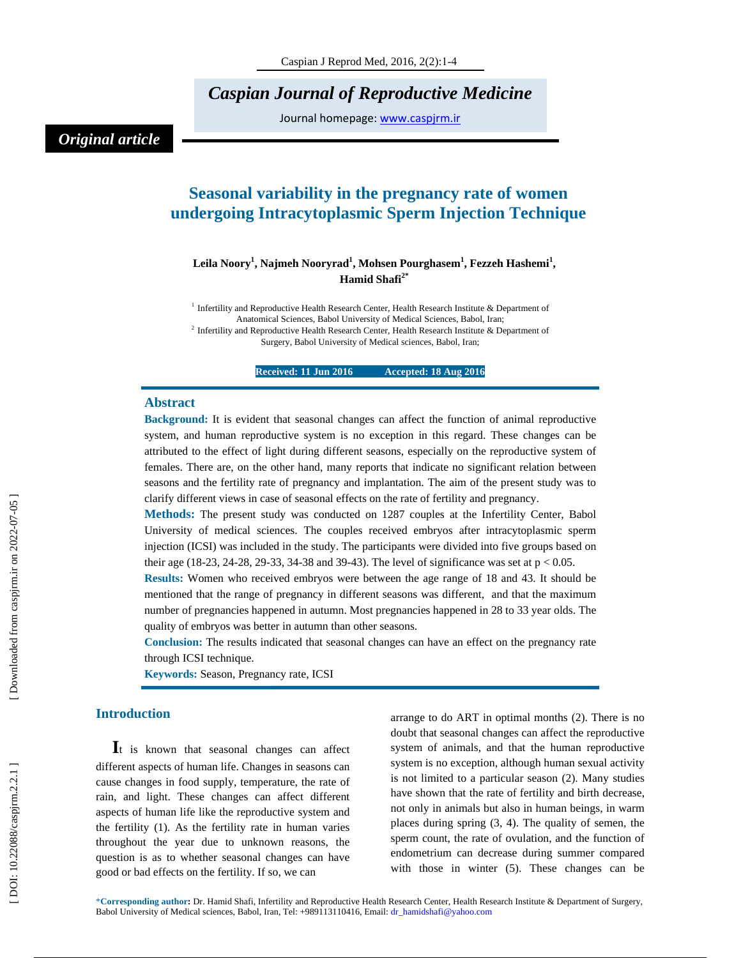*Caspian Journal of Reproductive Medicine* 

Journal homepage: www.caspjrm.ir

## *Original article*

# **Seasonal variability in the pregnancy rate of women undergoing Intracytoplasmic Sperm Injection Technique**

### $\bf{L}$ eila Noory<sup>1</sup>, Najmeh Nooryrad<sup>1</sup>, Mohsen Pourghasem<sup>1</sup>, Fezzeh Hashemi<sup>1</sup>, **Hamid Shafi2\***

<sup>1</sup> Infertility and Reproductive Health Research Center, Health Research Institute & Department of Anatomical Sciences, Babol University of Medical Sciences, Babol, Iran; <sup>2</sup> Infertility and Reproductive Health Research Center, Health Research Institute & Department of Surgery, Babol University of Medical sciences, Babol, Iran;

**Received: 11 Jun 2016 Accepted: 18 Aug 2016** 

#### **Abstract**

**Background:** It is evident that seasonal changes can affect the function of animal reproductive system, and human reproductive system is no exception in this regard. These changes can be attributed to the effect of light during different seasons, especially on the reproductive system of females. There are, on the other hand, many reports that indicate no significant relation between seasons and the fertility rate of pregnancy and implantation. The aim of the present study was to clarify different views in case of seasonal effects on the rate of fertility and pregnancy.

**Methods:** The present study was conducted on 1287 couples at the Infertility Center, Babol University of medical sciences. The couples received embryos after intracytoplasmic sperm injection (ICSI) was included in the study. The participants were divided into five groups based on their age (18-23, 24-28, 29-33, 34-38 and 39-43). The level of significance was set at  $p < 0.05$ .

**Results:** Women who received embryos were between the age range of 18 and 43. It should be mentioned that the range of pregnancy in different seasons was different, and that the maximum number of pregnancies happened in autumn. Most pregnancies happened in 28 to 33 year olds. The quality of embryos was better in autumn than other seasons.

**Conclusion:** The results indicated that seasonal changes can have an effect on the pregnancy rate through ICSI technique.

**Keywords:** Season, Pregnancy rate, ICSI

**Introduction**<br>**I**t is known that seasonal changes can affect different aspects of human life. Changes in seasons can cause changes in food supply, temperature, the rate of rain, and light. These changes can affect different aspects of human life like the reproductive system and the fertility (1). As the fertility rate in human varies throughout the year due to unknown reasons, the question is as to whether seasonal changes can have good or bad effects on the fertility. If so, we can

arrange to do ART in optimal months (2). There is no doubt that seasonal changes can affect the reproductive system of animals, and that the human reproductive system is no exception, although human sexual activity is not limited to a particular season (2). Many studies have shown that the rate of fertility and birth decrease, not only in animals but also in human beings, in warm places during spring (3, 4). The quality of semen, the sperm count, the rate of ovulation, and the function of endometrium can decrease during summer compared with those in winter (5). These changes can be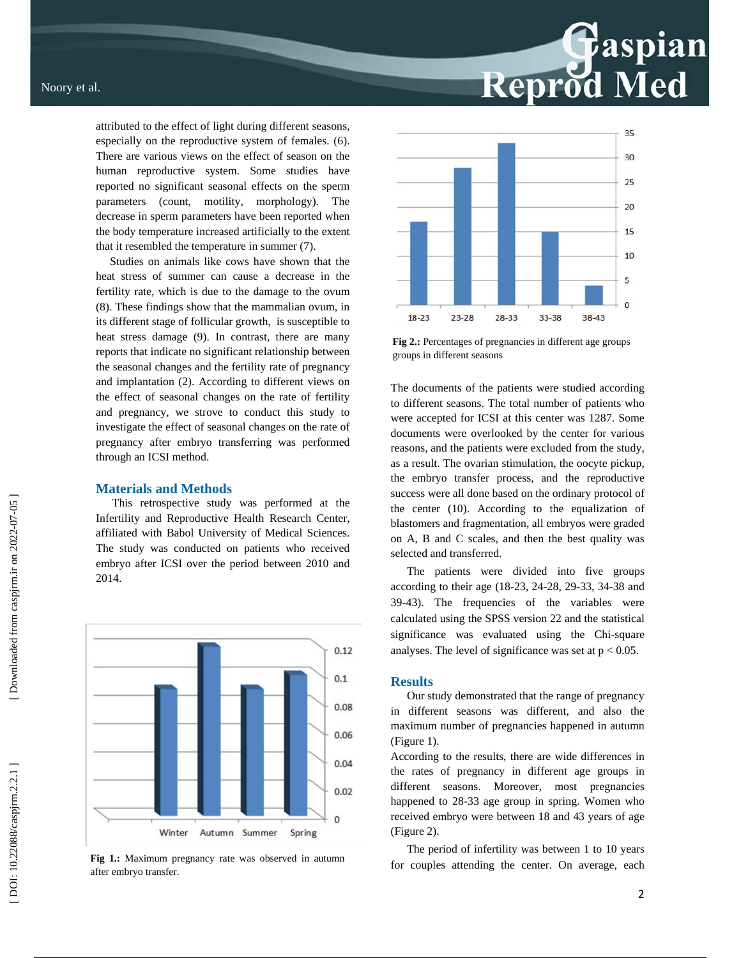attributed to the effect of light during different seasons, especially on the reproductive system of females. (6). There are various views on the effect of season on the human reproductive system. Some studies have reported no significant seasonal effects on the sperm parameters (count, motility, morphology). The decrease in sperm parameters have been reported when the body temperature increased artificially to the extent that it resembled the temperature in summer (7).

 Studies on animals like cows have shown that the heat stress of summer can cause a decrease in the fertility rate, which is due to the damage to the ovum (8). These findings show that the mammalian ovum, in its different stage of follicular growth, is susceptible to heat stress damage (9). In contrast, there are many reports that indicate no significant relationship between the seasonal changes and the fertility rate of pregnancy and implantation (2). According to different views on the effect of seasonal changes on the rate of fertility and pregnancy, we strove to conduct this study to investigate the effect of seasonal changes on the rate of pregnancy after embryo transferring was performed through an ICSI method.

#### **Materials and Methods**

This retrospective study was performed at the Infertility and Reproductive Health Research Center, affiliated with Babol University of Medical Sciences. The study was conducted on patients who received embryo after ICSI over the period between 2010 and 2014.



after embryo transfer.



Reprod Med

**Fig 2.:** Percentages of pregnancies in different age groups groups in different seasons

The documents of the patients were studied according to different seasons. The total number of patients who were accepted for ICSI at this center was 1287. Some documents were overlooked by the center for various reasons, and the patients were excluded from the study, as a result. The ovarian stimulation, the oocyte pickup, the embryo transfer process, and the reproductive success were all done based on the ordinary protocol of the center (10). According to the equalization of blastomers and fragmentation, all embryos were graded on A, B and C scales, and then the best quality was selected and transferred.

The patients were divided into five groups according to their age (18-23, 24-28, 29-33, 34-38 and 39-43). The frequencies of the variables were calculated using the SPSS version 22 and the statistical significance was evaluated using the Chi-square analyses. The level of significance was set at  $p < 0.05$ .

#### **Results**

Our study demonstrated that the range of pregnancy in different seasons was different, and also the maximum number of pregnancies happened in autumn (Figure 1).

According to the results, there are wide differences in the rates of pregnancy in different age groups in different seasons. Moreover, most pregnancies happened to 28-33 age group in spring. Women who received embryo were between 18 and 43 years of age (Figure 2).

The period of infertility was between 1 to 10 years Fig 1.: Maximum pregnancy rate was observed in autumn for couples attending the center. On average, each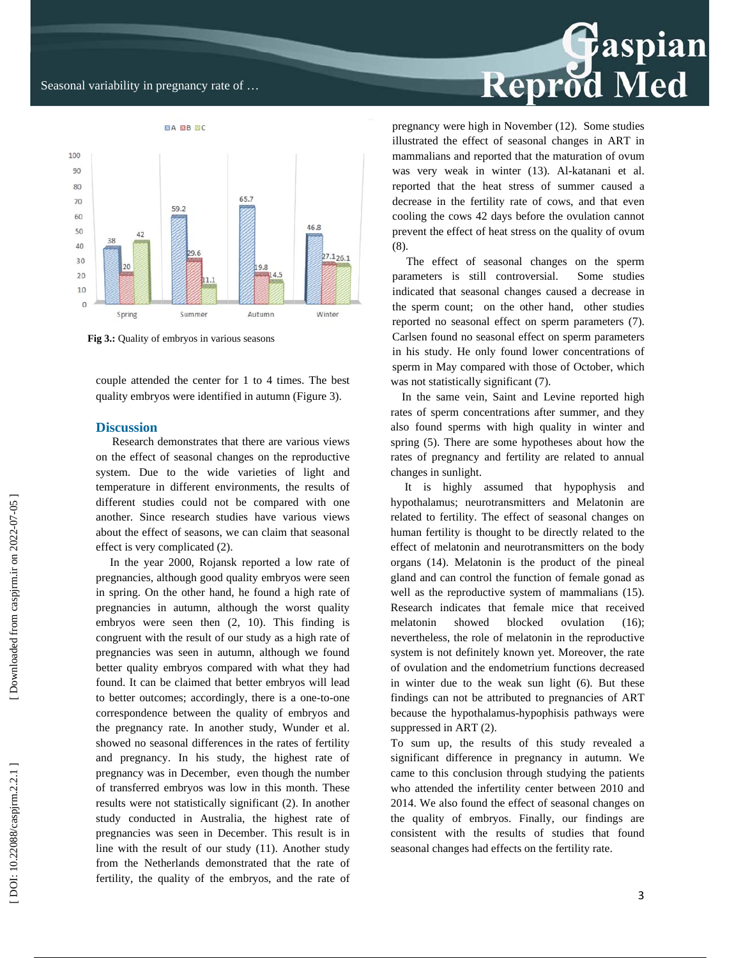#### Seasonal variability in pregnancy rate of …



**Fig 3.:** Quality of embryos in various seasons

couple attended the center for 1 to 4 times. The best quality embryos were identified in autumn (Figure 3).

#### **Discussion**

Research demonstrates that there are various views on the effect of seasonal changes on the reproductive system. Due to the wide varieties of light and temperature in different environments, the results of different studies could not be compared with one another. Since research studies have various views about the effect of seasons, we can claim that seasonal effect is very complicated (2).

 In the year 2000, Rojansk reported a low rate of pregnancies, although good quality embryos were seen in spring. On the other hand, he found a high rate of pregnancies in autumn, although the worst quality embryos were seen then (2, 10). This finding is congruent with the result of our study as a high rate of pregnancies was seen in autumn, although we found better quality embryos compared with what they had found. It can be claimed that better embryos will lead to better outcomes; accordingly, there is a one-to-one correspondence between the quality of embryos and the pregnancy rate. In another study, Wunder et al. showed no seasonal differences in the rates of fertility and pregnancy. In his study, the highest rate of pregnancy was in December, even though the number of transferred embryos was low in this month. These results were not statistically significant (2). In another study conducted in Australia, the highest rate of pregnancies was seen in December. This result is in line with the result of our study (11). Another study from the Netherlands demonstrated that the rate of fertility, the quality of the embryos, and the rate of

# Reprod Med

pregnancy were high in November (12). Some studies illustrated the effect of seasonal changes in ART in mammalians and reported that the maturation of ovum was very weak in winter (13). Al-katanani et al. reported that the heat stress of summer caused a decrease in the fertility rate of cows, and that even cooling the cows 42 days before the ovulation cannot prevent the effect of heat stress on the quality of ovum (8).

 The effect of seasonal changes on the sperm parameters is still controversial. Some studies indicated that seasonal changes caused a decrease in the sperm count; on the other hand, other studies reported no seasonal effect on sperm parameters (7). Carlsen found no seasonal effect on sperm parameters in his study. He only found lower concentrations of sperm in May compared with those of October, which was not statistically significant  $(7)$ .

 In the same vein, Saint and Levine reported high rates of sperm concentrations after summer, and they also found sperms with high quality in winter and spring (5). There are some hypotheses about how the rates of pregnancy and fertility are related to annual changes in sunlight.

 It is highly assumed that hypophysis and hypothalamus; neurotransmitters and Melatonin are related to fertility. The effect of seasonal changes on human fertility is thought to be directly related to the effect of melatonin and neurotransmitters on the body organs (14). Melatonin is the product of the pineal gland and can control the function of female gonad as well as the reproductive system of mammalians (15). Research indicates that female mice that received melatonin showed blocked ovulation (16); nevertheless, the role of melatonin in the reproductive system is not definitely known yet. Moreover, the rate of ovulation and the endometrium functions decreased in winter due to the weak sun light (6). But these findings can not be attributed to pregnancies of ART because the hypothalamus-hypophisis pathways were suppressed in ART (2).

To sum up, the results of this study revealed a significant difference in pregnancy in autumn. We came to this conclusion through studying the patients who attended the infertility center between 2010 and 2014. We also found the effect of seasonal changes on the quality of embryos. Finally, our findings are consistent with the results of studies that found seasonal changes had effects on the fertility rate.